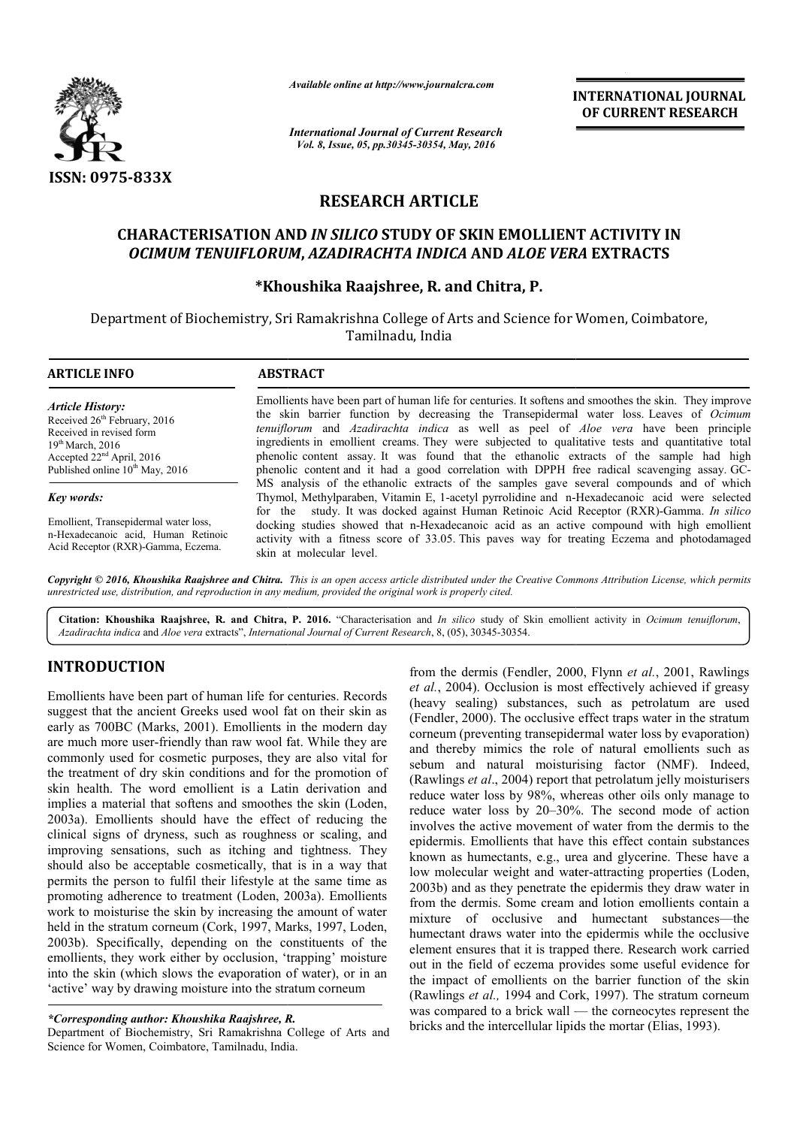

*Available online at http://www.journalcra.com*

*International Journal of Current Research Vol. 8, Issue, 05, pp.30345-30354, May, 2016*

**INTERNATIONAL JOURNAL OF CURRENT RESEARCH** 

# **RESEARCH ARTICLE**

# **CHARACTERISATION AND** *IN SILICO* **STUDY OF SKIN EMOLLIENT ACTIVITY IN**  *OCIMUM TENUIFLORUM* **,** *AZADIRACHTA INDICA* **AND** *ALOE VERA*  **EXTRACTS**

# **\*Khoushika Raajshree Khoushika Raajshree, R. and Chitra, P.**

Department of Biochemistry, Sri Ramakrishna College of Arts and Science for Women, Coimbatore, Tamilnadu, India

| <b>ARTICLE INFO</b>                                                                                                                                                                                 | <b>ABSTRACT</b>                                                                                                                                                                                                                                                                                                                                                                                                                                                                                                                                                                                                   |
|-----------------------------------------------------------------------------------------------------------------------------------------------------------------------------------------------------|-------------------------------------------------------------------------------------------------------------------------------------------------------------------------------------------------------------------------------------------------------------------------------------------------------------------------------------------------------------------------------------------------------------------------------------------------------------------------------------------------------------------------------------------------------------------------------------------------------------------|
| <b>Article History:</b><br>Received 26 <sup>th</sup> February, 2016<br>Received in revised form<br>$19th$ March, 2016<br>Accepted $22nd$ April, 2016<br>Published online 10 <sup>th</sup> May, 2016 | Emollients have been part of human life for centuries. It softens and smoothes the skin. They improve<br>the skin barrier function by decreasing the Transepidermal water loss. Leaves of <i>Ocimum</i><br><i>tenuiflorum</i> and <i>Azadirachta indica</i> as well as peel of <i>Aloe vera</i> have been principle<br>ingredients in emollient creams. They were subjected to qualitative tests and quantitative total<br>phenolic content assay. It was found that the ethanolic extracts of the sample had high<br>phenolic content and it had a good correlation with DPPH free radical scavenging assay. GC- |
| Key words:                                                                                                                                                                                          | MS analysis of the ethanolic extracts of the samples gave several compounds and of which<br>Thymol, Methylparaben, Vitamin E, 1-acetyl pyrrolidine and n-Hexadecanoic acid were selected                                                                                                                                                                                                                                                                                                                                                                                                                          |
| Emollient, Transepidermal water loss,<br>n-Hexadecanoic acid, Human Retinoic<br>Acid Receptor (RXR)-Gamma, Eczema.                                                                                  | for the study. It was docked against Human Retinoic Acid Receptor (RXR)-Gamma. In silico<br>docking studies showed that n-Hexadecanoic acid as an active compound with high emollient<br>activity with a fitness score of 33.05. This payes way for treating Eczema and photodamaged<br>skin at molecular level.                                                                                                                                                                                                                                                                                                  |

Copyright © 2016, Khoushika Raajshree and Chitra. This is an open access article distributed under the Creative Commons Attribution License, which permits *unrestricted use, distribution, and reproduction in any medium, provided the original work is properly cited.*

Citation: Khoushika Raajshree, R. and Chitra, P. 2016. "Characterisation and *In silico* study of Skin emollient activity in *Ocimum tenuiflorum*, *Azadirachta indica* and *Aloe vera* extracts", *International Journal of Current Research* , 8, (05), 30345-30354.

# **INTRODUCTION**

Emollients have been part of human life for centuries. Records suggest that the ancient Greeks used wool fat on their skin as early as 700BC (Marks, 2001). Emollients in the modern day are much more user-friendly than raw wool fat. While they are commonly used for cosmetic purposes, they are also vital for the treatment of dry skin conditions and for the promotion of skin health. The word emollient is a Latin derivation and implies a material that softens and smoothes the skin (Loden, 2003a). Emollients should have the effect of reducing the clinical signs of dryness, such as roughness or scaling, and improving sensations, such as itching and tightness. They should also be acceptable cosmetically, that is in a way that permits the person to fulfil their lifestyle at the same time as promoting adherence to treatment (Loden, 2003a). Emollients work to moisturise the skin by increasing the amount of water held in the stratum corneum (Cork, 1997, Marks, 1997, Loden, 2003b). Specifically, depending on the constitu emollients, they work either by occlusion, 'trapping' moisture into the skin (which slows the evaporation of water), or in an 'active' way by drawing moisture into the stratum corneum friendly than raw wool fat. While they are<br>cosmetic purposes, they are also vital for<br>skin conditions and for the promotion of<br>ord emollient is a Latin derivation and<br>at softens and smoothes the skin (Loden,<br>should have th

Department of Biochemistry, Sri Ramakrishna College of Arts and Science for Women, Coimbatore, Tamilnadu, India.

from the dermis (Fendler, 2000, Flynn *et al.*, 2001, Rawlings *et al.*, 2004). Occlusion is most effectively achieved if greasy (heavy sealing) substances, such as petrolatum are used (Fendler, 2000). The occlusive effect traps water in the stratum corneum (preventing transepidermal water loss by evaporation) and thereby mimics the role of natural emollients such as sebum and natural moisturising factor (NMF). Indeed, (Rawlings *et al*., 2004) report that petrolatum jelly moisturisers reduce water loss by 98%, whereas other oils only manage to reduce water loss by 20–30%. The second mode of action involves the active movement of water from the dermis to the epidermis. Emollients that have this effect contain substances known as humectants, e.g., urea and glycerine. These have a low molecular weight and water-attracting properties (Loden, 2003b) and as they penetrate the epidermis they draw water in from the dermis. Some cream and lotion emollients contain a mixture of occlusive and humectant substances—the humectant draws water into the epidermis while the occlusive element ensures that it is trapped there. Research work carried out in the field of eczema provides some useful evidence for the impact of emollients on the barrier function of the skin (Rawlings *et al.,* 1994 and Cork, was compared to a brick wall — the corneocytes represent the bricks and the intercellular lipids the mortar (Elias, 1993). aling) substances, such as petrolatum are used  $2000$ . The occlusive effect traps water in the stratum preventing transepidermal water loss by evaporation) by mimics the role of natural emollients such as ad natural moist epidermis. Emollients that have this effect contain substances known as humectants, e.g., urea and glycerine. These have a low molecular weight and water-attracting properties (Loden, water into the epidermis while the occlusive<br>hat it is trapped there. Research work carried<br>f eczema provides some useful evidence for<br>nollients on the barrier function of the skin<br>1994 and Cork, 1997). The stratum corneum

*<sup>\*</sup>Corresponding author: Khoushika Raajshree, R.*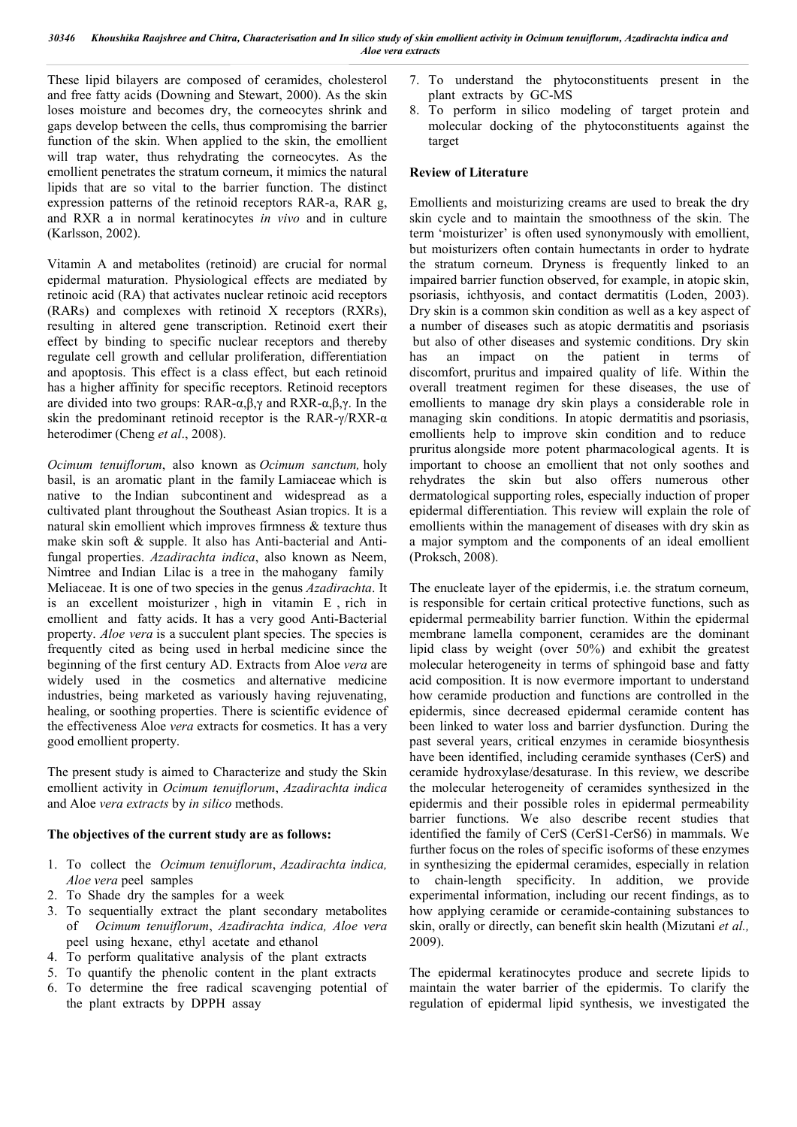These lipid bilayers are composed of ceramides, cholesterol and free fatty acids (Downing and Stewart, 2000). As the skin loses moisture and becomes dry, the corneocytes shrink and gaps develop between the cells, thus compromising the barrier function of the skin. When applied to the skin, the emollient will trap water, thus rehydrating the corneocytes. As the emollient penetrates the stratum corneum, it mimics the natural lipids that are so vital to the barrier function. The distinct expression patterns of the retinoid receptors RAR-a, RAR g, and RXR a in normal keratinocytes *in vivo* and in culture (Karlsson, 2002).

Vitamin A and metabolites (retinoid) are crucial for normal epidermal maturation. Physiological effects are mediated by retinoic acid (RA) that activates nuclear retinoic acid receptors (RARs) and complexes with retinoid X receptors (RXRs), resulting in altered gene transcription. Retinoid exert their effect by binding to specific nuclear receptors and thereby regulate cell growth and cellular proliferation, differentiation and apoptosis. This effect is a class effect, but each retinoid has a higher affinity for specific receptors. Retinoid receptors are divided into two groups: RAR- $\alpha, \beta, \gamma$  and RXR- $\alpha, \beta, \gamma$ . In the skin the predominant retinoid receptor is the RAR-γ/RXR- $α$ heterodimer (Cheng *et al*., 2008).

*Ocimum tenuiflorum*, also known as *Ocimum sanctum,* holy basil, is an aromatic plant in the family Lamiaceae which is native to the Indian subcontinent and widespread as a cultivated plant throughout the Southeast Asian tropics. It is a natural skin emollient which improves firmness & texture thus make skin soft & supple. It also has Anti-bacterial and Antifungal properties. *Azadirachta indica*, also known as Neem, Nimtree and Indian Lilac is a tree in the mahogany family Meliaceae. It is one of two species in the genus *Azadirachta*. It is an excellent moisturizer , high in vitamin E , rich in emollient and fatty acids. It has a very good Anti-Bacterial property. *Aloe vera* is a succulent plant species. The species is frequently cited as being used in herbal medicine since the beginning of the first century AD. Extracts from Aloe *vera* are widely used in the cosmetics and alternative medicine industries, being marketed as variously having rejuvenating, healing, or soothing properties. There is scientific evidence of the effectiveness Aloe *vera* extracts for cosmetics. It has a very good emollient property.

The present study is aimed to Characterize and study the Skin emollient activity in *Ocimum tenuiflorum*, *Azadirachta indica* and Aloe *vera extracts* by *in silico* methods.

### **The objectives of the current study are as follows:**

- 1. To collect the *Ocimum tenuiflorum*, *Azadirachta indica, Aloe vera* peelsamples
- 2. To Shade dry the samples for a week
- 3. To sequentially extract the plant secondary metabolites of *Ocimum tenuiflorum*, *Azadirachta indica, Aloe vera*  peelusing hexane, ethyl acetate and ethanol
- 4. To perform qualitative analysis of the plant extracts
- 5. To quantify the phenolic content in the plant extracts
- 6. To determine the free radical scavenging potential of the plant extracts by DPPH assay
- 7. To understand the phytoconstituents present in the plant extracts by GC-MS
- 8. To perform in silico modeling of target protein and molecular docking of the phytoconstituents against the target

#### **Review of Literature**

Emollients and moisturizing creams are used to break the dry skin cycle and to maintain the smoothness of the skin. The term 'moisturizer' is often used synonymously with emollient, but moisturizers often contain humectants in order to hydrate the stratum corneum. Dryness is frequently linked to an impaired barrier function observed, for example, in atopic skin, psoriasis, ichthyosis, and contact dermatitis (Loden, 2003). Dry skin is a common skin condition as well as a key aspect of a number of diseases such as atopic dermatitis and psoriasis but also of other diseases and systemic conditions. Dry skin has an impact on the patient in terms of discomfort, pruritus and impaired quality of life. Within the overall treatment regimen for these diseases, the use of emollients to manage dry skin plays a considerable role in managing skin conditions. In atopic dermatitis and psoriasis, emollients help to improve skin condition and to reduce pruritus alongside more potent pharmacological agents. It is important to choose an emollient that not only soothes and rehydrates the skin but also offers numerous other dermatological supporting roles, especially induction of proper epidermal differentiation. This review will explain the role of emollients within the management of diseases with dry skin as a major symptom and the components of an ideal emollient (Proksch, 2008).

The enucleate layer of the epidermis, i.e. the stratum corneum, is responsible for certain critical protective functions, such as epidermal permeability barrier function. Within the epidermal membrane lamella component, ceramides are the dominant lipid class by weight (over 50%) and exhibit the greatest molecular heterogeneity in terms of sphingoid base and fatty acid composition. It is now evermore important to understand how ceramide production and functions are controlled in the epidermis, since decreased epidermal ceramide content has been linked to water loss and barrier dysfunction. During the past several years, critical enzymes in ceramide biosynthesis have been identified, including ceramide synthases (CerS) and ceramide hydroxylase/desaturase. In this review, we describe the molecular heterogeneity of ceramides synthesized in the epidermis and their possible roles in epidermal permeability barrier functions. We also describe recent studies that identified the family of CerS (CerS1-CerS6) in mammals. We further focus on the roles of specific isoforms of these enzymes in synthesizing the epidermal ceramides, especially in relation to chain-length specificity. In addition, we provide experimental information, including our recent findings, as to how applying ceramide or ceramide-containing substances to skin, orally or directly, can benefit skin health (Mizutani *et al.,*  2009).

The epidermal keratinocytes produce and secrete lipids to maintain the water barrier of the epidermis. To clarify the regulation of epidermal lipid synthesis, we investigated the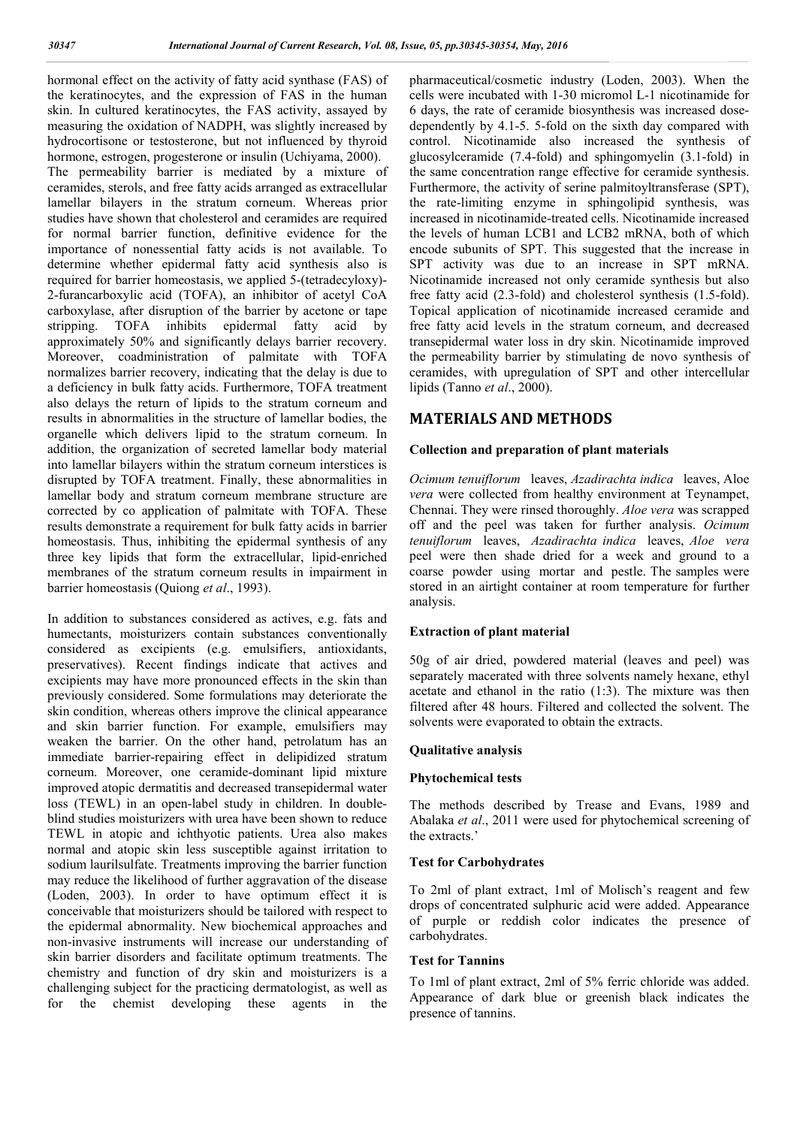hormonal effect on the activity of fatty acid synthase (FAS) of the keratinocytes, and the expression of FAS in the human skin. In cultured keratinocytes, the FAS activity, assayed by measuring the oxidation of NADPH, was slightly increased by hydrocortisone or testosterone, but not influenced by thyroid hormone, estrogen, progesterone or insulin (Uchiyama, 2000). The permeability barrier is mediated by a mixture of ceramides, sterols, and free fatty acids arranged as extracellular lamellar bilayers in the stratum corneum. Whereas prior studies have shown that cholesterol and ceramides are required for normal barrier function, definitive evidence for the importance of nonessential fatty acids is not available. To determine whether epidermal fatty acid synthesis also is required for barrier homeostasis, we applied 5-(tetradecyloxy)- 2-furancarboxylic acid (TOFA), an inhibitor of acetyl CoA carboxylase, after disruption of the barrier by acetone or tape stripping. TOFA inhibits epidermal fatty acid by approximately 50% and significantly delays barrier recovery. Moreover, coadministration of palmitate with TOFA normalizes barrier recovery, indicating that the delay is due to a deficiency in bulk fatty acids. Furthermore, TOFA treatment also delays the return of lipids to the stratum corneum and results in abnormalities in the structure of lamellar bodies, the organelle which delivers lipid to the stratum corneum. In addition, the organization of secreted lamellar body material into lamellar bilayers within the stratum corneum interstices is disrupted by TOFA treatment. Finally, these abnormalities in lamellar body and stratum corneum membrane structure are corrected by co application of palmitate with TOFA. These results demonstrate a requirement for bulk fatty acids in barrier homeostasis. Thus, inhibiting the epidermal synthesis of any three key lipids that form the extracellular, lipid-enriched membranes of the stratum corneum results in impairment in barrier homeostasis (Quiong *et al*., 1993).

In addition to substances considered as actives, e.g. fats and humectants, moisturizers contain substances conventionally considered as excipients (e.g. emulsifiers, antioxidants, preservatives). Recent findings indicate that actives and excipients may have more pronounced effects in the skin than previously considered. Some formulations may deteriorate the skin condition, whereas others improve the clinical appearance and skin barrier function. For example, emulsifiers may weaken the barrier. On the other hand, petrolatum has an immediate barrier-repairing effect in delipidized stratum corneum. Moreover, one ceramide-dominant lipid mixture improved atopic dermatitis and decreased transepidermal water loss (TEWL) in an open-label study in children. In doubleblind studies moisturizers with urea have been shown to reduce TEWL in atopic and ichthyotic patients. Urea also makes normal and atopic skin less susceptible against irritation to sodium laurilsulfate. Treatments improving the barrier function may reduce the likelihood of further aggravation of the disease (Loden, 2003). In order to have optimum effect it is conceivable that moisturizers should be tailored with respect to the epidermal abnormality. New biochemical approaches and non-invasive instruments will increase our understanding of skin barrier disorders and facilitate optimum treatments. The chemistry and function of dry skin and moisturizers is a challenging subject for the practicing dermatologist, as well as for the chemist developing these agents in the

pharmaceutical/cosmetic industry (Loden, 2003). When the cells were incubated with 1-30 micromol L-1 nicotinamide for 6 days, the rate of ceramide biosynthesis was increased dosedependently by 4.1-5. 5-fold on the sixth day compared with control. Nicotinamide also increased the synthesis of glucosylceramide (7.4-fold) and sphingomyelin (3.1-fold) in the same concentration range effective for ceramide synthesis. Furthermore, the activity of serine palmitoyltransferase (SPT), the rate-limiting enzyme in sphingolipid synthesis, was increased in nicotinamide-treated cells. Nicotinamide increased the levels of human LCB1 and LCB2 mRNA, both of which encode subunits of SPT. This suggested that the increase in SPT activity was due to an increase in SPT mRNA. Nicotinamide increased not only ceramide synthesis but also free fatty acid (2.3-fold) and cholesterol synthesis (1.5-fold). Topical application of nicotinamide increased ceramide and free fatty acid levels in the stratum corneum, and decreased transepidermal water loss in dry skin. Nicotinamide improved the permeability barrier by stimulating de novo synthesis of ceramides, with upregulation of SPT and other intercellular lipids (Tanno *et al*., 2000).

# **MATERIALS AND METHODS**

### **Collection and preparation of plant materials**

*Ocimum tenuiflorum* leaves, *Azadirachta indica* leaves, Aloe *vera* were collected from healthy environment at Teynampet, Chennai. They were rinsed thoroughly. *Aloe vera* was scrapped off and the peel was taken for further analysis. *Ocimum tenuiflorum* leaves, *Azadirachta indica* leaves, *Aloe vera* peel were then shade dried for a week and ground to a coarse powder using mortar and pestle. The samples were stored in an airtight container at room temperature for further analysis.

### **Extraction of plant material**

50g of air dried, powdered material (leaves and peel) was separately macerated with three solvents namely hexane, ethyl acetate and ethanol in the ratio (1:3). The mixture was then filtered after 48 hours. Filtered and collected the solvent. The solvents were evaporated to obtain the extracts.

### **Qualitative analysis**

### **Phytochemical tests**

The methods described by Trease and Evans, 1989 and Abalaka *et al*., 2011 were used for phytochemical screening of the extracts.'

### **Test for Carbohydrates**

To 2ml of plant extract, 1ml of Molisch's reagent and few drops of concentrated sulphuric acid were added. Appearance of purple or reddish color indicates the presence of carbohydrates.

### **Test for Tannins**

To 1ml of plant extract, 2ml of 5% ferric chloride was added. Appearance of dark blue or greenish black indicates the presence of tannins.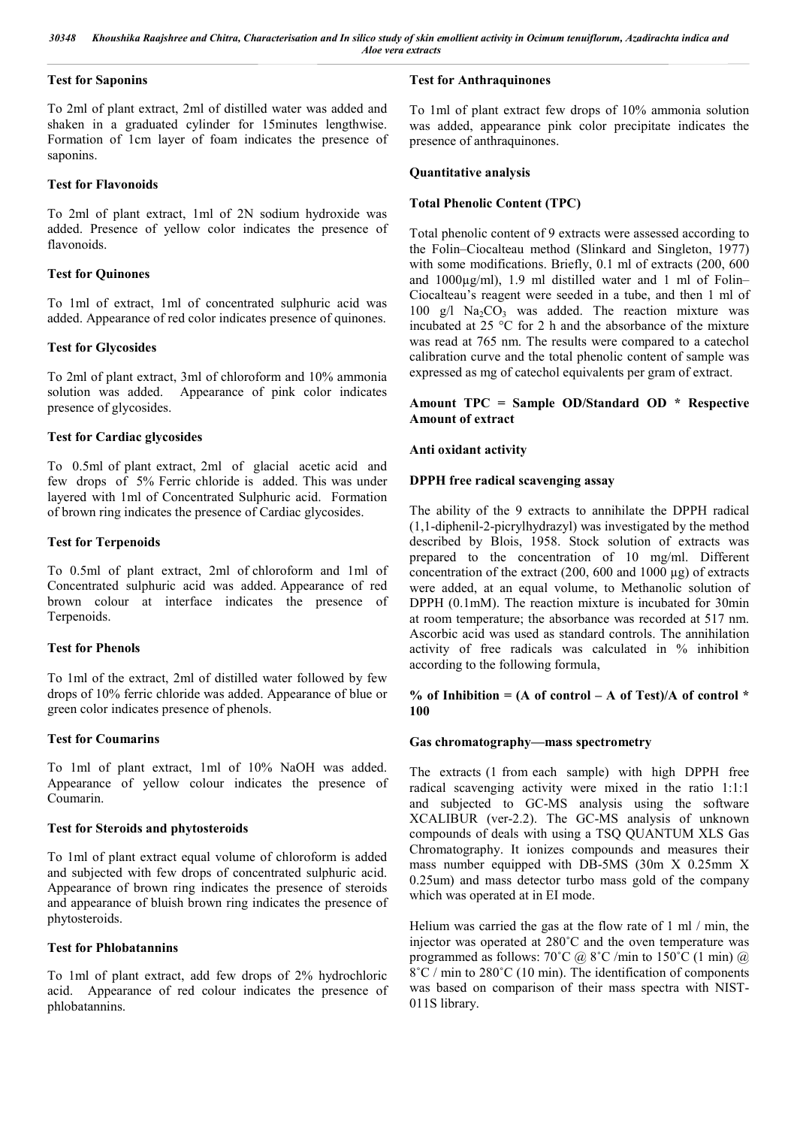# **Test for Saponins**

To 2ml of plant extract, 2ml of distilled water was added and shaken in a graduated cylinder for 15minutes lengthwise. Formation of 1cm layer of foam indicates the presence of saponins.

# **Test for Flavonoids**

To 2ml of plant extract, 1ml of 2N sodium hydroxide was added. Presence of yellow color indicates the presence of flavonoids.

# **Test for Quinones**

To 1ml of extract, 1ml of concentrated sulphuric acid was added. Appearance of red color indicates presence of quinones.

# **Test for Glycosides**

To 2ml of plant extract, 3ml of chloroform and 10% ammonia solution was added. Appearance of pink color indicates presence of glycosides.

# **Test for Cardiac glycosides**

To 0.5ml of plant extract, 2ml of glacial acetic acid and few drops of 5% Ferric chloride is added. This was under layered with 1ml of Concentrated Sulphuric acid. Formation of brown ring indicates the presence of Cardiac glycosides.

# **Test for Terpenoids**

To 0.5ml of plant extract, 2ml of chloroform and1ml of Concentrated sulphuric acid was added. Appearance of red brown colour at interface indicates the presence of Terpenoids.

# **Test for Phenols**

To 1ml of the extract, 2ml of distilled water followed by few drops of 10% ferric chloride was added. Appearance of blue or green color indicates presence of phenols.

# **Test for Coumarins**

To 1ml of plant extract, 1ml of 10% NaOH was added. Appearance of yellow colour indicates the presence of Coumarin.

# **Test for Steroids and phytosteroids**

To 1ml of plant extract equal volume of chloroform is added and subjected with few drops of concentrated sulphuric acid. Appearance of brown ring indicates the presence of steroids and appearance of bluish brown ring indicates the presence of phytosteroids.

### **Test for Phlobatannins**

To 1ml of plant extract, add few drops of 2% hydrochloric acid. Appearance of red colour indicates the presence of phlobatannins.

# **Test for Anthraquinones**

To 1ml of plant extract few drops of 10% ammonia solution was added, appearance pink color precipitate indicates the presence of anthraquinones.

# **Quantitative analysis**

# **Total Phenolic Content (TPC)**

Total phenolic content of 9 extracts were assessed according to the Folin–Ciocalteau method (Slinkard and Singleton, 1977) with some modifications. Briefly, 0.1 ml of extracts (200, 600 and 1000µg/ml), 1.9 ml distilled water and 1 ml of Folin-Ciocalteau's reagent were seeded in a tube, and then 1 ml of 100 g/l  $Na<sub>2</sub>CO<sub>3</sub>$  was added. The reaction mixture was incubated at 25 °C for 2 h and the absorbance of the mixture was read at 765 nm. The results were compared to a catechol calibration curve and the total phenolic content of sample was expressed as mg of catechol equivalents per gram of extract.

## **Amount TPC = Sample OD/Standard OD \* Respective Amount of extract**

# **Anti oxidant activity**

# **DPPH free radical scavenging assay**

The ability of the 9 extracts to annihilate the DPPH radical (1,1-diphenil-2-picrylhydrazyl) was investigated by the method described by Blois, 1958. Stock solution of extracts was prepared to the concentration of 10 mg/ml. Different concentration of the extract (200, 600 and 1000 µg) of extracts were added, at an equal volume, to Methanolic solution of DPPH (0.1mM). The reaction mixture is incubated for 30min at room temperature; the absorbance was recorded at 517 nm. Ascorbic acid was used as standard controls. The annihilation activity of free radicals was calculated in % inhibition according to the following formula,

### **% of Inhibition = (A of control – A of Test)/A of control \* 100**

### **Gas chromatography—mass spectrometry**

The extracts (1 from each sample) with high DPPH free radical scavenging activity were mixed in the ratio 1:1:1 and subjected to GC-MS analysis using the software XCALIBUR (ver-2.2). The GC-MS analysis of unknown compounds of deals with using a TSQ QUANTUM XLS Gas Chromatography. It ionizes compounds and measures their mass number equipped with DB-5MS (30m X 0.25mm X 0.25um) and mass detector turbo mass gold of the company which was operated at in EI mode.

Helium was carried the gas at the flow rate of 1 ml / min, the injector was operated at 280˚C and the oven temperature was programmed as follows:  $70^{\circ}$ C @  $8^{\circ}$ C /min to  $150^{\circ}$ C (1 min) @ 8˚C / min to 280˚C (10 min). The identification of components was based on comparison of their mass spectra with NIST-011S library.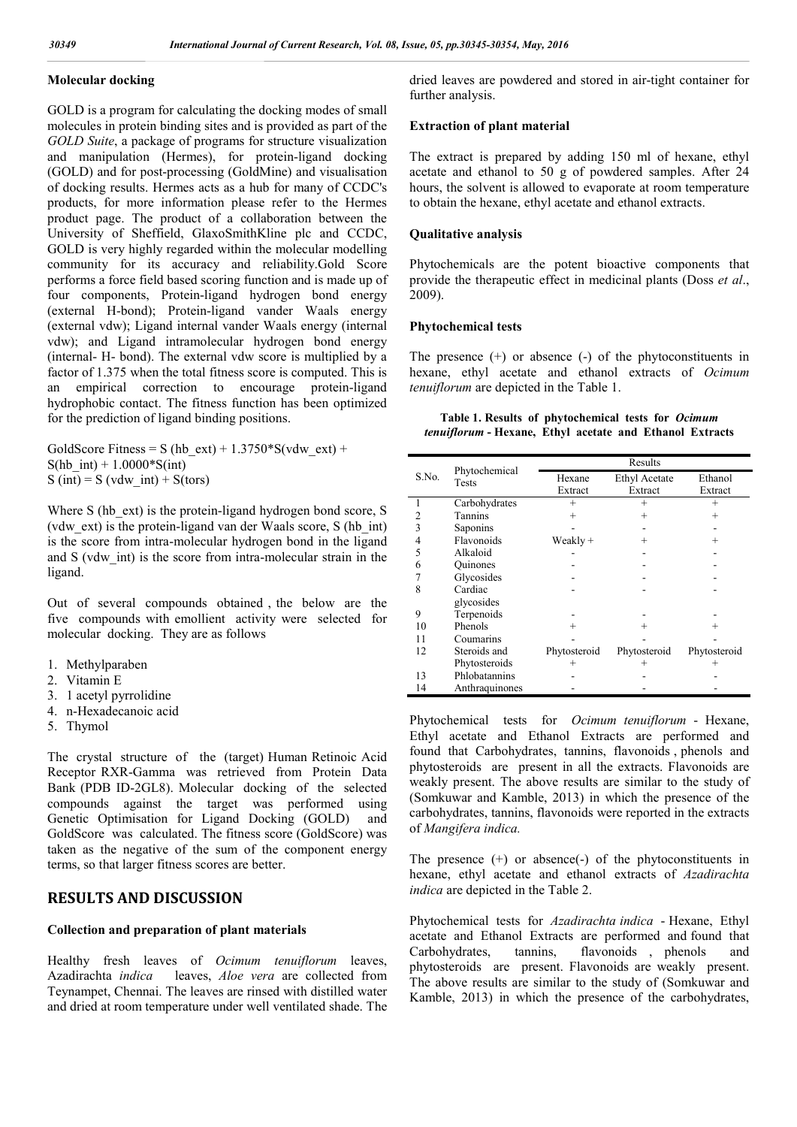### **Molecular docking**

GOLD is a program for calculating the docking modes of small molecules in protein binding sites and is provided as part of the *GOLD Suite*, a package of programs for structure visualization and manipulation (Hermes), for protein-ligand docking (GOLD) and for post-processing (GoldMine) and visualisation of docking results. Hermes acts as a hub for many of CCDC's products, for more information please refer to the Hermes product page. The product of a collaboration between the University of Sheffield, GlaxoSmithKline plc and CCDC, GOLD is very highly regarded within the molecular modelling community for its accuracy and reliability.Gold Score performs a force field based scoring function and is made up of four components, Protein-ligand hydrogen bond energy (external H-bond); Protein-ligand vander Waals energy (external vdw); Ligand internal vander Waals energy (internal vdw); and Ligand intramolecular hydrogen bond energy (internal- H- bond). The external vdw score is multiplied by a factor of 1.375 when the total fitness score is computed. This is an empirical correction to encourage protein-ligand hydrophobic contact. The fitness function has been optimized for the prediction of ligand binding positions.

GoldScore Fitness = S (hb\_ext) +  $1.3750*$ S(vdw\_ext) +  $S(hb$  int) + 1.0000\*S(int)  $S(int) = S (vdw int) + S(tors)$ 

Where S (hb ext) is the protein-ligand hydrogen bond score, S (vdw\_ext) is the protein-ligand van der Waals score, S (hb\_int) is the score from intra-molecular hydrogen bond in the ligand and S (vdw\_int) is the score from intra-molecular strain in the ligand.

Out of several compounds obtained , the below are the five compounds with emollient activity were selected for molecular docking. They are as follows

- 1. Methylparaben
- 2. Vitamin E
- 3. 1 acetyl pyrrolidine
- 4. n-Hexadecanoic acid
- 5. Thymol

The crystal structure of the (target) Human Retinoic Acid Receptor RXR-Gamma was retrieved from Protein Data Bank (PDB ID-2GL8). Molecular docking of the selected compounds against the target was performed using Genetic Optimisation for Ligand Docking (GOLD) and GoldScore was calculated. The fitness score (GoldScore) was taken as the negative of the sum of the component energy terms, so that larger fitness scores are better.

### **RESULTS AND DISCUSSION**

### **Collection and preparation of plant materials**

Healthy fresh leaves of *Ocimum tenuiflorum* leaves, Azadirachta *indica* leaves, *Aloe vera* are collected from Teynampet, Chennai. The leaves are rinsed with distilled water and dried at room temperature under well ventilated shade. The dried leaves are powdered and stored in air-tight container for further analysis.

### **Extraction of plant material**

The extract is prepared by adding 150 ml of hexane, ethyl acetate and ethanol to 50 g of powdered samples. After 24 hours, the solvent is allowed to evaporate at room temperature to obtain the hexane, ethyl acetate and ethanol extracts.

### **Qualitative analysis**

Phytochemicals are the potent bioactive components that provide the therapeutic effect in medicinal plants (Doss *et al*., 2009).

#### **Phytochemical tests**

The presence (+) or absence (-) of the phytoconstituents in hexane, ethyl acetate and ethanol extracts of *Ocimum tenuiflorum* are depicted in the Table 1.

| Table 1. Results of phytochemical tests for Ocimum       |  |  |  |
|----------------------------------------------------------|--|--|--|
| tenuiflorum - Hexane, Ethyl acetate and Ethanol Extracts |  |  |  |

|       |                        |              | Results              |              |
|-------|------------------------|--------------|----------------------|--------------|
| S.No. | Phytochemical<br>Tests | Hexane       | <b>Ethyl Acetate</b> | Ethanol      |
|       |                        | Extract      | Extract              | Extract      |
| 1     | Carbohydrates          | $^{+}$       | $^{+}$               | $^{+}$       |
| 2     | Tannins                | $\pm$        | $^{+}$               | $^{+}$       |
| 3     | Saponins               |              |                      |              |
| 4     | Flavonoids             | Weakly +     | $^{+}$               | $^{+}$       |
| 5     | Alkaloid               |              |                      |              |
| 6     | <b>Quinones</b>        |              |                      |              |
|       | Glycosides             |              |                      |              |
| 8     | Cardiac                |              |                      |              |
|       | glycosides             |              |                      |              |
| 9     | Terpenoids             |              |                      |              |
| 10    | Phenols                | $^+$         | $^{+}$               | $^+$         |
| 11    | Coumarins              |              |                      |              |
| 12    | Steroids and           | Phytosteroid | Phytosteroid         | Phytosteroid |
|       | Phytosteroids          |              | $\pm$                | $^+$         |
| 13    | Phlobatannins          |              |                      |              |
| 14    | Anthraquinones         |              |                      |              |

Phytochemical tests for *Ocimum tenuiflorum* - Hexane, Ethyl acetate and Ethanol Extractsare performed and found that Carbohydrates, tannins, flavonoids , phenols and phytosteroids are present in all the extracts. Flavonoids are weakly present. The above results are similar to the study of (Somkuwar and Kamble, 2013) in which the presence of the carbohydrates, tannins, flavonoids were reported in the extracts of *Mangifera indica.*

The presence (+) or absence(-) of the phytoconstituents in hexane, ethyl acetate and ethanol extracts of *Azadirachta indica* are depicted in the Table 2.

Phytochemical tests for *Azadirachta indica* - Hexane, Ethyl acetate and Ethanol Extracts are performed and found that Carbohydrates, tannins, flavonoids , phenols and phytosteroids are present. Flavonoids are weakly present. The above results are similar to the study of (Somkuwar and Kamble, 2013) in which the presence of the carbohydrates,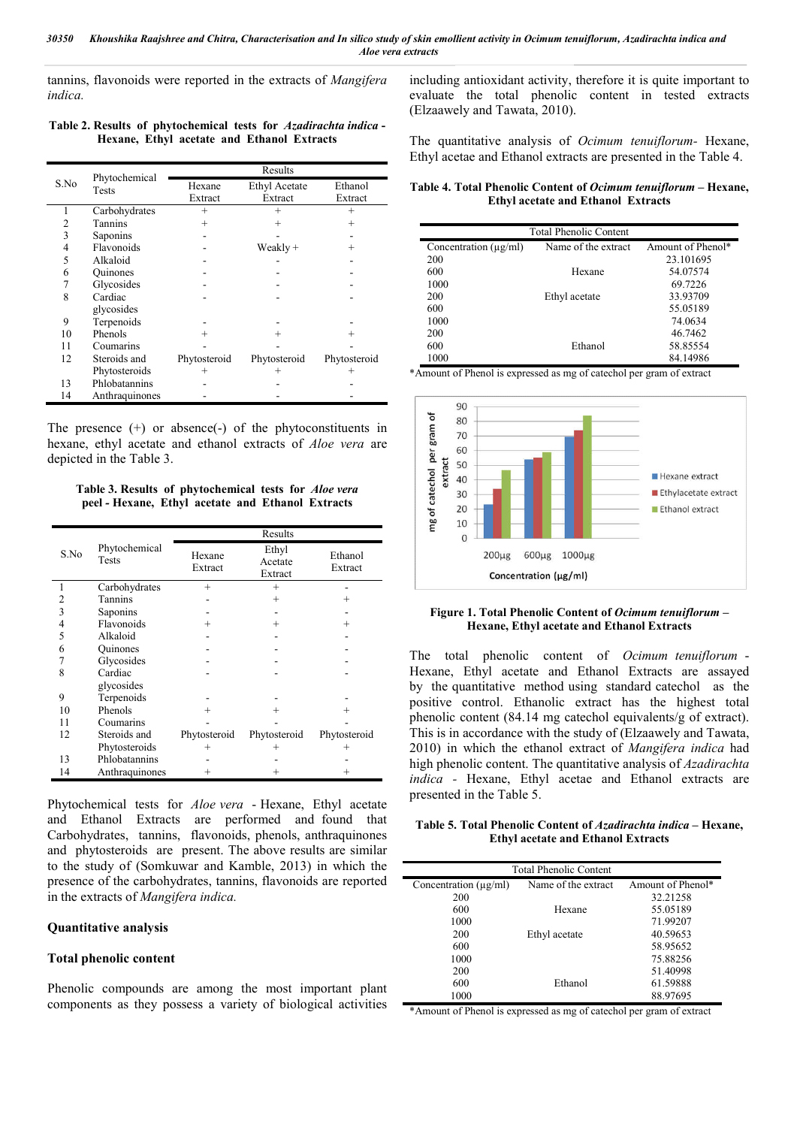tannins, flavonoids were reported in the extracts of *Mangifera indica.*

### **Table 2. Results of phytochemical tests for** *Azadirachta indica* **- Hexane, Ethyl acetate and Ethanol Extracts**

|      |                        | Results      |                      |              |  |  |
|------|------------------------|--------------|----------------------|--------------|--|--|
| S.No | Phytochemical<br>Tests | Hexane       | <b>Ethyl Acetate</b> | Ethanol      |  |  |
|      |                        | Extract      | Extract              | Extract      |  |  |
|      | Carbohydrates          | $^{+}$       | $^{+}$               | $^{+}$       |  |  |
| 2    | Tannins                | $^{+}$       | $^{+}$               | $^{+}$       |  |  |
| 3    | Saponins               |              |                      |              |  |  |
| 4    | Flavonoids             |              | Weakly +             | $^{+}$       |  |  |
| 5    | Alkaloid               |              |                      |              |  |  |
| 6    | <b>Quinones</b>        |              |                      |              |  |  |
| 7    | Glycosides             |              |                      |              |  |  |
| 8    | Cardiac                |              |                      |              |  |  |
|      | glycosides             |              |                      |              |  |  |
| 9    | Terpenoids             |              |                      |              |  |  |
| 10   | Phenols                | $^{+}$       | $^{+}$               | $^{+}$       |  |  |
| 11   | Coumarins              |              |                      |              |  |  |
| 12   | Steroids and           | Phytosteroid | Phytosteroid         | Phytosteroid |  |  |
|      | Phytosteroids          | $^+$         | $^+$                 | $^+$         |  |  |
| 13   | Phlobatannins          |              |                      |              |  |  |
| 14   | Anthraquinones         |              |                      |              |  |  |

The presence (+) or absence(-) of the phytoconstituents in hexane, ethyl acetate and ethanol extracts of *Aloe vera* are depicted in the Table 3.

**Table 3. Results of phytochemical tests for** *Aloe vera* **peel** *-* **Hexane, Ethyl acetate and Ethanol Extracts**

|      |                        |                   | Results                     |                    |
|------|------------------------|-------------------|-----------------------------|--------------------|
| S.No | Phytochemical<br>Tests | Hexane<br>Extract | Ethyl<br>Acetate<br>Extract | Ethanol<br>Extract |
| 1    | Carbohydrates          | $^{+}$            | $^{+}$                      |                    |
| 2    | <b>Tannins</b>         |                   | $^{+}$                      | $\pm$              |
| 3    | Saponins               |                   |                             |                    |
| 4    | Flavonoids             | $\div$            | $^{+}$                      | $^+$               |
| 5    | Alkaloid               |                   |                             |                    |
| 6    | <b>Quinones</b>        |                   |                             |                    |
| 7    | Glycosides             |                   |                             |                    |
| 8    | Cardiac                |                   |                             |                    |
|      | glycosides             |                   |                             |                    |
| 9    | Terpenoids             |                   |                             |                    |
| 10   | Phenols                | $\pm$             | $^{+}$                      | $\pm$              |
| 11   | Coumarins              |                   |                             |                    |
| 12   | Steroids and           | Phytosteroid      | Phytosteroid                | Phytosteroid       |
|      | Phytosteroids          | $^{+}$            | $^{+}$                      | $^{+}$             |
| 13   | Phlobatannins          |                   |                             |                    |
| 14   | Anthraquinones         | $^+$              | $^+$                        | $^+$               |

Phytochemical tests for *Aloe vera* - Hexane, Ethyl acetate and Ethanol Extracts are performed and found that Carbohydrates, tannins, flavonoids, phenols, anthraquinones and phytosteroids are present. The above results are similar to the study of (Somkuwar and Kamble, 2013) in which the presence of the carbohydrates, tannins, flavonoids are reported in the extracts of *Mangifera indica.*

### **Quantitative analysis**

### **Total phenolic content**

Phenolic compounds are among the most important plant components as they possess a variety of biological activities including antioxidant activity, therefore it is quite important to evaluate the total phenolic content in tested extracts (Elzaawely and Tawata, 2010).

The quantitative analysis of *Ocimum tenuiflorum-* Hexane, Ethyl acetae and Ethanol extracts are presented in the Table 4.

**Table 4. Total Phenolic Content of** *Ocimum tenuiflorum* **– Hexane, Ethyl acetate and Ethanol Extracts**

|                            | Total Phenolic Content |                   |
|----------------------------|------------------------|-------------------|
| Concentration $(\mu g/ml)$ | Name of the extract    | Amount of Phenol* |
| 200                        |                        | 23.101695         |
| 600                        | Hexane                 | 54.07574          |
| 1000                       |                        | 69.7226           |
| 200                        | Ethyl acetate          | 33.93709          |
| 600                        |                        | 55.05189          |
| 1000                       |                        | 74.0634           |
| 200                        |                        | 46.7462           |
| 600                        | Ethanol                | 58.85554          |
| 1000                       |                        | 84.14986          |

\*Amount of Phenol is expressed as mg of catechol per gram of extract



#### **Figure 1. Total Phenolic Content of** *Ocimum tenuiflorum* **– Hexane, Ethyl acetate and Ethanol Extracts**

The total phenolic content of *Ocimum tenuiflorum* - Hexane, Ethyl acetate and Ethanol Extracts are assayed by the quantitative method using standard catechol as the positive control. Ethanolic extract has the highest total phenolic content (84.14 mg catechol equivalents/g of extract). This is in accordance with the study of (Elzaawely and Tawata, 2010) in which the ethanol extract of *Mangifera indica* had high phenolic content. The quantitative analysis of *Azadirachta indica -* Hexane, Ethyl acetae and Ethanol extracts are presented in the Table 5.

**Table 5. Total Phenolic Content of** *Azadirachta indica* **– Hexane, Ethyl acetate and Ethanol Extracts**

|                            | <b>Total Phenolic Content</b> |                   |  |  |  |  |  |
|----------------------------|-------------------------------|-------------------|--|--|--|--|--|
| Concentration $(\mu g/ml)$ | Name of the extract           | Amount of Phenol* |  |  |  |  |  |
| 200                        |                               | 32.21258          |  |  |  |  |  |
| 600                        | Hexane                        | 55.05189          |  |  |  |  |  |
| 1000                       |                               | 71.99207          |  |  |  |  |  |
| 200                        | Ethyl acetate                 | 40.59653          |  |  |  |  |  |
| 600                        |                               | 58.95652          |  |  |  |  |  |
| 1000                       |                               | 75.88256          |  |  |  |  |  |
| 200                        |                               | 51.40998          |  |  |  |  |  |
| 600                        | Ethanol                       | 61.59888          |  |  |  |  |  |
| 1000                       |                               | 88.97695          |  |  |  |  |  |

\*Amount of Phenol is expressed as mg of catechol per gram of extract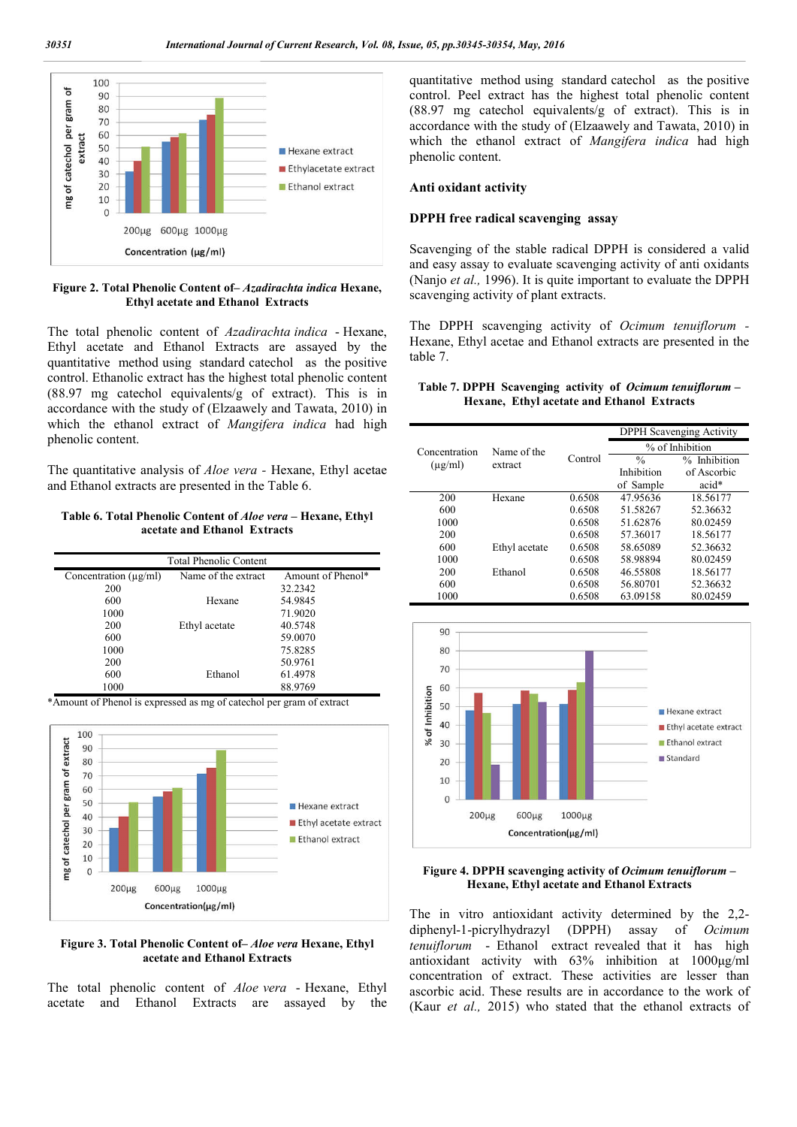

#### **Figure 2. Total Phenolic Content of–** *Azadirachta indica* **Hexane, Ethyl acetate and Ethanol Extracts**

The total phenolic content of *Azadirachta indica* - Hexane, Ethyl acetate and Ethanol Extractsare assayed by the quantitative method using standard catechol as the positive control. Ethanolic extract has the highest total phenolic content (88.97 mg catechol equivalents/g of extract). This is in accordance with the study of (Elzaawely and Tawata, 2010) in which the ethanol extract of *Mangifera indica* had high phenolic content.

The quantitative analysis of *Aloe vera -* Hexane, Ethyl acetae and Ethanol extracts are presented in the Table 6.

### **Table 6. Total Phenolic Content of** *Aloe vera* **– Hexane, Ethyl acetate and Ethanol Extracts**

|                            | <b>Total Phenolic Content</b> |                   |
|----------------------------|-------------------------------|-------------------|
| Concentration $(\mu g/ml)$ | Name of the extract           | Amount of Phenol* |
| 200                        |                               | 32.2342           |
| 600                        | Hexane                        | 54.9845           |
| 1000                       |                               | 71.9020           |
| 200                        | Ethyl acetate                 | 40.5748           |
| 600                        |                               | 59.0070           |
| 1000                       |                               | 75.8285           |
| 200                        |                               | 50.9761           |
| 600                        | Ethanol                       | 61.4978           |
| 1000                       |                               | 88.9769           |

\*Amount of Phenol is expressed as mg of catechol per gram of extract



#### **Figure 3. Total Phenolic Content of–** *Aloe vera* **Hexane, Ethyl acetate and Ethanol Extracts**

The total phenolic content of *Aloe vera* - Hexane, Ethyl acetate and Ethanol Extractsare assayed by the quantitative method using standard catechol as the positive control. Peel extract has the highest total phenolic content (88.97 mg catechol equivalents/g of extract). This is in accordance with the study of (Elzaawely and Tawata, 2010) in which the ethanol extract of *Mangifera indica* had high phenolic content.

#### **Anti oxidant activity**

#### **DPPH free radical scavenging assay**

Scavenging of the stable radical DPPH is considered a valid and easy assay to evaluate scavenging activity of anti oxidants (Nanjo *et al.,* 1996). It is quite important to evaluate the DPPH scavenging activity of plant extracts.

The DPPH scavenging activity of *Ocimum tenuiflorum -* Hexane, Ethyl acetae and Ethanol extracts are presented in the table 7.

### **Table 7. DPPH Scavenging activity of** *Ocimum tenuiflorum* **– Hexane, Ethyl acetate and Ethanol Extracts**

|               |               |         |                 | <b>DPPH</b> Scavenging Activity |
|---------------|---------------|---------|-----------------|---------------------------------|
| Concentration | Name of the   |         | % of Inhibition |                                 |
| $(\mu$ g/ml)  | extract       | Control | $\frac{0}{0}$   | % Inhibition                    |
|               |               |         | Inhibition      | of Ascorbic                     |
|               |               |         | of Sample       | acid*                           |
| 200           | Hexane        | 0.6508  | 47.95636        | 18.56177                        |
| 600           |               | 0.6508  | 51.58267        | 52.36632                        |
| 1000          |               | 0.6508  | 51.62876        | 80.02459                        |
| 200           |               | 0.6508  | 57.36017        | 18.56177                        |
| 600           | Ethyl acetate | 0.6508  | 58.65089        | 52.36632                        |
| 1000          |               | 0.6508  | 58.98894        | 80.02459                        |
| 200           | Ethanol       | 0.6508  | 46.55808        | 18.56177                        |
| 600           |               | 0.6508  | 56.80701        | 52.36632                        |
| 1000          |               | 0.6508  | 63.09158        | 80.02459                        |



#### **Figure 4. DPPH scavenging activity of** *Ocimum tenuiflorum* **– Hexane, Ethyl acetate and Ethanol Extracts**

The in vitro antioxidant activity determined by the 2,2 diphenyl-1-picrylhydrazyl (DPPH) assay of *Ocimum tenuiflorum* - Ethanol extract revealed that it has high antioxidant activity with 63% inhibition at 1000μg/ml concentration of extract. These activities are lesser than ascorbic acid. These results are in accordance to the work of (Kaur *et al.,* 2015) who stated that the ethanol extracts of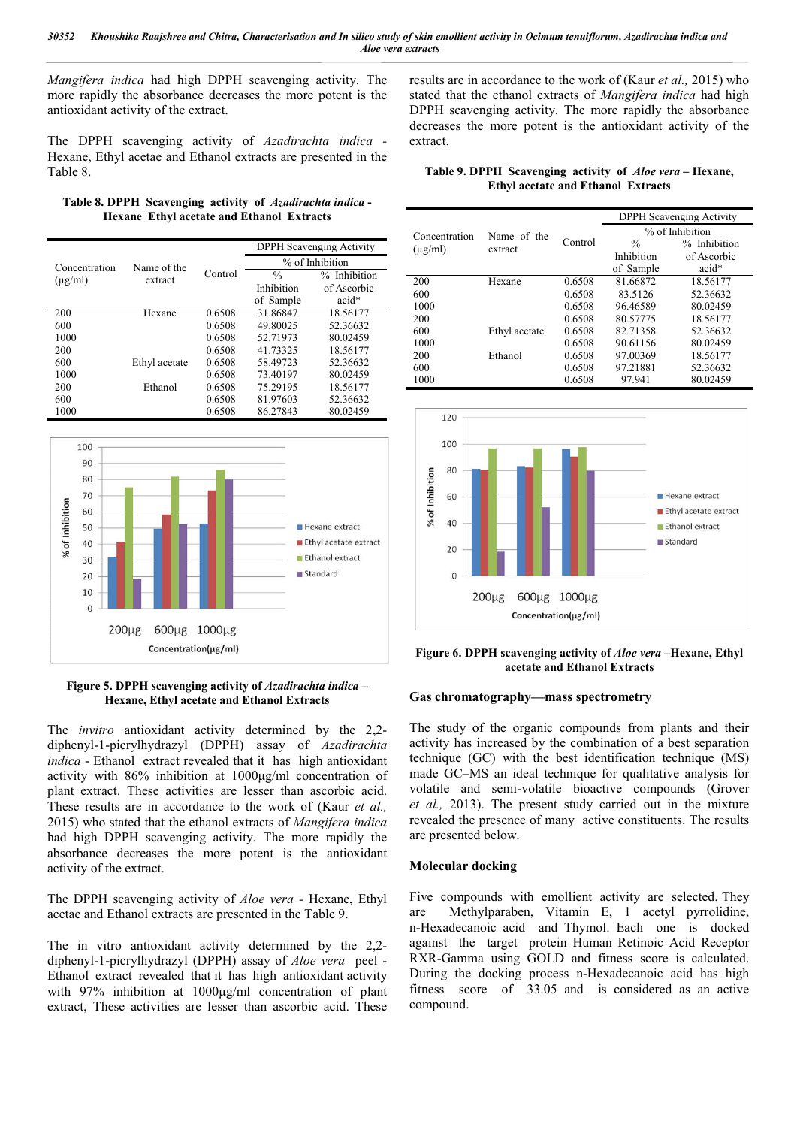*Mangifera indica* had high DPPH scavenging activity. The more rapidly the absorbance decreases the more potent is the antioxidant activity of the extract.

The DPPH scavenging activity of *Azadirachta indica -* Hexane, Ethyl acetae and Ethanol extracts are presented in the Table 8.

|                                                  |  | Table 8. DPPH Scavenging activity of Azadirachta indica - |
|--------------------------------------------------|--|-----------------------------------------------------------|
| <b>Hexane Ethyl acetate and Ethanol Extracts</b> |  |                                                           |

|               |               |         |                 | <b>DPPH</b> Scavenging Activity |  |
|---------------|---------------|---------|-----------------|---------------------------------|--|
| Concentration | Name of the   |         | % of Inhibition |                                 |  |
| $(\mu$ g/ml)  | extract       | Control | $\frac{0}{0}$   | % Inhibition                    |  |
|               |               |         | Inhibition      | of Ascorbic                     |  |
|               |               |         | of Sample       | acid*                           |  |
| 200           | Hexane        | 0.6508  | 31.86847        | 18.56177                        |  |
| 600           |               | 0.6508  | 49.80025        | 52.36632                        |  |
| 1000          |               | 0.6508  | 52.71973        | 80.02459                        |  |
| 200           |               | 0.6508  | 41.73325        | 18.56177                        |  |
| 600           | Ethyl acetate | 0.6508  | 58.49723        | 52.36632                        |  |
| 1000          |               | 0.6508  | 73.40197        | 80.02459                        |  |
| 200           | Ethanol       | 0.6508  | 75.29195        | 18.56177                        |  |
| 600           |               | 0.6508  | 81.97603        | 52.36632                        |  |
| 1000          |               | 0.6508  | 86.27843        | 80.02459                        |  |



### **Figure 5. DPPH scavenging activity of** *Azadirachta indica* **– Hexane, Ethyl acetate and Ethanol Extracts**

The *invitro* antioxidant activity determined by the 2,2 diphenyl-1-picrylhydrazyl (DPPH) assay of *Azadirachta indica* - Ethanol extract revealed that it has high antioxidant activity with 86% inhibition at 1000μg/ml concentration of plant extract. These activities are lesser than ascorbic acid. These results are in accordance to the work of (Kaur *et al.,* 2015) who stated that the ethanol extracts of *Mangifera indica*  had high DPPH scavenging activity. The more rapidly the absorbance decreases the more potent is the antioxidant activity of the extract.

The DPPH scavenging activity of *Aloe vera -* Hexane, Ethyl acetae and Ethanol extracts are presented in the Table 9.

The in vitro antioxidant activity determined by the 2,2 diphenyl-1-picrylhydrazyl (DPPH) assay of *Aloe vera* peel - Ethanol extract revealed that it has high antioxidant activity with 97% inhibition at 1000ug/ml concentration of plant extract, These activities are lesser than ascorbic acid. These

results are in accordance to the work of (Kaur *et al.,* 2015) who stated that the ethanol extracts of *Mangifera indica* had high DPPH scavenging activity. The more rapidly the absorbance decreases the more potent is the antioxidant activity of the extract.

**Table 9. DPPH Scavenging activity of** *Aloe vera* **– Hexane, Ethyl acetate and Ethanol Extracts**

|               |               |         |               | <b>DPPH</b> Scavenging Activity |
|---------------|---------------|---------|---------------|---------------------------------|
| Concentration | Name of the   |         |               | % of Inhibition                 |
| $(\mu$ g/ml)  | extract       | Control | $\frac{0}{0}$ | % Inhibition                    |
|               |               |         | Inhibition    | of Ascorbic                     |
|               |               |         | of Sample     | acid*                           |
| 200           | Hexane        | 0.6508  | 81.66872      | 18.56177                        |
| 600           |               | 0.6508  | 83.5126       | 52.36632                        |
| 1000          |               | 0.6508  | 96.46589      | 80.02459                        |
| 200           |               | 0.6508  | 80.57775      | 18.56177                        |
| 600           | Ethyl acetate | 0.6508  | 82.71358      | 52.36632                        |
| 1000          |               | 0.6508  | 90.61156      | 80.02459                        |
| 200           | Ethanol       | 0.6508  | 97.00369      | 18.56177                        |
| 600           |               | 0.6508  | 97.21881      | 52.36632                        |
| 1000          |               | 0.6508  | 97.941        | 80.02459                        |



**Figure 6. DPPH scavenging activity of** *Aloe vera* **–Hexane, Ethyl acetate and Ethanol Extracts**

### **Gas chromatography—mass spectrometry**

The study of the organic compounds from plants and their activity has increased by the combination of a best separation technique (GC) with the best identification technique (MS) made GC–MS an ideal technique for qualitative analysis for volatile and semi-volatile bioactive compounds (Grover *et al.,* 2013). The present study carried out in the mixture revealed the presence of many active constituents. The results are presented below.

### **Molecular docking**

Five compounds with emollient activity are selected. They are Methylparaben, Vitamin E, 1 acetyl pyrrolidine, n-Hexadecanoic acid and Thymol. Each one is docked against the target protein Human Retinoic Acid Receptor RXR-Gamma using GOLD and fitness score is calculated. During the docking process n-Hexadecanoic acid has high fitness score of 33.05 and is considered as an active compound.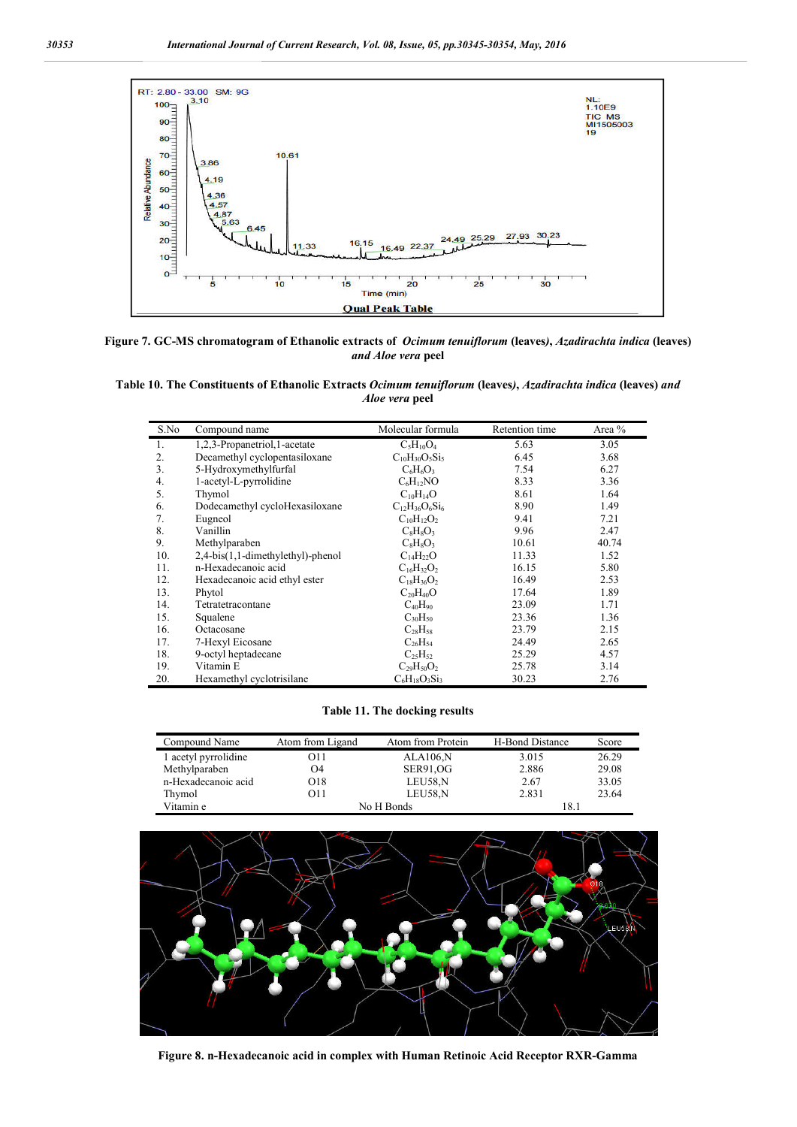

**Figure 7. GC-MS chromatogram of Ethanolic extracts of** *Ocimum tenuiflorum* **(leaves***)***,** *Azadirachta indica* **(leaves)** *and Aloe vera* **peel**

**Table 10. The Constituents of Ethanolic Extracts** *Ocimum tenuiflorum* **(leaves***)***,** *Azadirachta indica* **(leaves)** *and Aloe vera* **peel**

| S.No           | Compound name                     | Molecular formula     | Retention time | Area % |
|----------------|-----------------------------------|-----------------------|----------------|--------|
| $\mathbf{1}$ . | 1,2,3-Propanetriol,1-acetate      | $C_5H_{10}O_4$        | 5.63           | 3.05   |
| 2.             | Decamethyl cyclopentasiloxane     | $C_{10}H_{30}O_5Si_5$ | 6.45           | 3.68   |
| 3.             | 5-Hydroxymethylfurfal             | $C_6H_6O_3$           | 7.54           | 6.27   |
| 4.             | 1-acetyl-L-pyrrolidine            | $C_6H_{12}NO$         | 8.33           | 3.36   |
| 5.             | Thymol                            | $C_{10}H_{14}O$       | 8.61           | 1.64   |
| 6.             | Dodecamethyl cycloHexasiloxane    | $C_{12}H_{36}O_6Si_6$ | 8.90           | 1.49   |
| 7.             | Eugneol                           | $C_{10}H_{12}O_2$     | 9.41           | 7.21   |
| 8.             | Vanillin                          | $C_8H_8O_3$           | 9.96           | 2.47   |
| 9.             | Methylparaben                     | $C_8H_8O_3$           | 10.61          | 40.74  |
| 10.            | 2,4-bis(1,1-dimethylethyl)-phenol | $C_{14}H_{22}O$       | 11.33          | 1.52   |
| 11.            | n-Hexadecanoic acid               | $C_{16}H_{32}O_2$     | 16.15          | 5.80   |
| 12.            | Hexadecanoic acid ethyl ester     | $C_{18}H_{36}O_2$     | 16.49          | 2.53   |
| 13.            | Phytol                            | $C_{20}H_{40}O$       | 17.64          | 1.89   |
| 14.            | Tetratetracontane                 | $C_{40}H_{90}$        | 23.09          | 1.71   |
| 15.            | Squalene                          | $C_{30}H_{50}$        | 23.36          | 1.36   |
| 16.            | Octacosane                        | $C_{28}H_{58}$        | 23.79          | 2.15   |
| 17.            | 7-Hexyl Eicosane                  | $C_{26}H_{54}$        | 24.49          | 2.65   |
| 18.            | 9-octyl heptadecane               | $C_{25}H_{52}$        | 25.29          | 4.57   |
| 19.            | Vitamin E                         | $C_{29}H_{50}O_2$     | 25.78          | 3.14   |
| 20.            | Hexamethyl cyclotrisilane         | $C_6H_{18}O_3Si_3$    | 30.23          | 2.76   |

### **Table 11. The docking results**

| Compound Name        | Atom from Ligand | Atom from Protein | H-Bond Distance | Score |
|----------------------|------------------|-------------------|-----------------|-------|
| 1 acetyl pyrrolidine | O11              | <b>ALA106,N</b>   | 3.015           | 26.29 |
| Methylparaben        | Э4               | <b>SER91, OG</b>  | 2.886           | 29.08 |
| n-Hexadecanoic acid  | O18              | LEU58,N           | 2.67            | 33.05 |
| Thymol               | O11              | LEU58,N           | 2.831           | 23.64 |
| Vitamin e            | No H Bonds       |                   | 18.1            |       |



**Figure 8. n-Hexadecanoic acid in complex with Human Retinoic Acid Receptor RXR-Gamma**